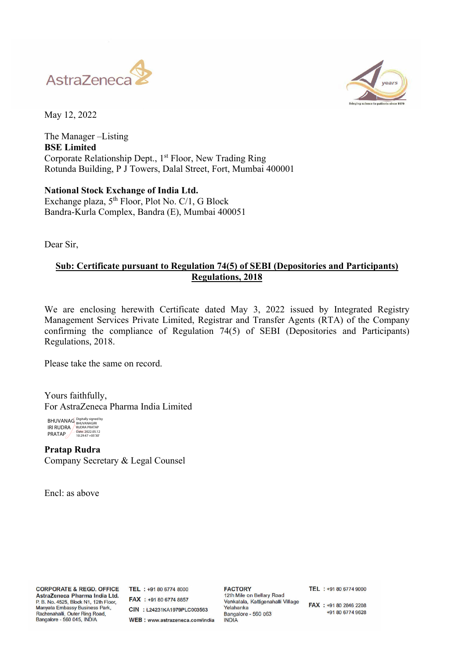



May 12, 2022

The Manager –Listing **BSE Limited**  Corporate Relationship Dept., 1<sup>st</sup> Floor, New Trading Ring Rotunda Building, P J Towers, Dalal Street, Fort, Mumbai 400001

**National Stock Exchange of India Ltd.**  Exchange plaza,  $5<sup>th</sup>$  Floor, Plot No. C/1, G Block Bandra-Kurla Complex, Bandra (E), Mumbai 400051

Dear Sir,

## **Sub: Certificate pursuant to Regulation 74(5) of SEBI (Depositories and Participants) Regulations, 2018**

We are enclosing herewith Certificate dated May 3, 2022 issued by Integrated Registry Management Services Private Limited, Registrar and Transfer Agents (RTA) of the Company confirming the compliance of Regulation 74(5) of SEBI (Depositories and Participants) Regulations, 2018.

Please take the same on record.

Yours faithfully, For AstraZeneca Pharma India Limited

BHUVANAG IRI RUDRA PRATAP Digitally signed by BHUVANAGIRI RUDRA PRATAP Date: 2022.05.12 10:29:47 +05'30'

**Pratap Rudra**  Company Secretary & Legal Counsel

Encl: as above

**CORPORATE & REGD. OFFICE** AstraZeneca Pharma India Ltd. P. B. No. 4525, Block N1, 12th Floor, Manyata Embassy Business Park, Rachenahalli, Outer Ring Road, Bangalore - 560 045, INDIA

TEL : +91 80 6774 8000 FAX : +91 80 6774 8857 CIN : 124231KA1979PLC003563 WEB: www.astrazeneca.com/india

**FACTORY** 12th Mile on Bellary Road Venkatala, Kattigenahalli Village Velahanka Bangalore - 560 063 **INDIA** 

TEL : +91 80 6774 9000

FAX : +91 80 2846 2208 +91 80 6774 9628